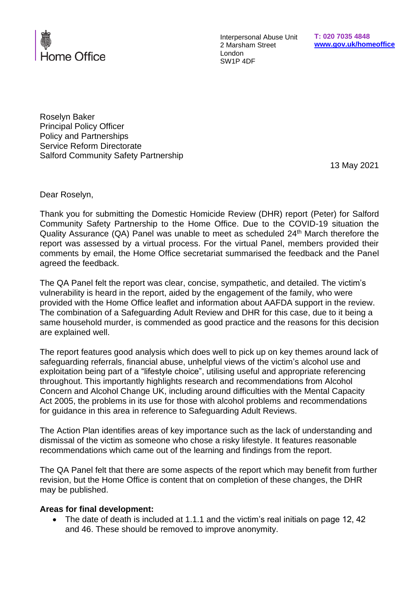

Interpersonal Abuse Unit 2 Marsham Street London SW1P 4DF

Roselyn Baker Principal Policy Officer Policy and Partnerships Service Reform Directorate Salford Community Safety Partnership

13 May 2021

Dear Roselyn,

Thank you for submitting the Domestic Homicide Review (DHR) report (Peter) for Salford Community Safety Partnership to the Home Office. Due to the COVID-19 situation the Quality Assurance (QA) Panel was unable to meet as scheduled 24<sup>th</sup> March therefore the report was assessed by a virtual process. For the virtual Panel, members provided their comments by email, the Home Office secretariat summarised the feedback and the Panel agreed the feedback.

The QA Panel felt the report was clear, concise, sympathetic, and detailed. The victim's vulnerability is heard in the report, aided by the engagement of the family, who were provided with the Home Office leaflet and information about AAFDA support in the review. The combination of a Safeguarding Adult Review and DHR for this case, due to it being a same household murder, is commended as good practice and the reasons for this decision are explained well.

The report features good analysis which does well to pick up on key themes around lack of safeguarding referrals, financial abuse, unhelpful views of the victim's alcohol use and exploitation being part of a "lifestyle choice", utilising useful and appropriate referencing throughout. This importantly highlights research and recommendations from Alcohol Concern and Alcohol Change UK, including around difficulties with the Mental Capacity Act 2005, the problems in its use for those with alcohol problems and recommendations for guidance in this area in reference to Safeguarding Adult Reviews.

The Action Plan identifies areas of key importance such as the lack of understanding and dismissal of the victim as someone who chose a risky lifestyle. It features reasonable recommendations which came out of the learning and findings from the report.

The QA Panel felt that there are some aspects of the report which may benefit from further revision, but the Home Office is content that on completion of these changes, the DHR may be published.

## **Areas for final development:**

• The date of death is included at 1.1.1 and the victim's real initials on page 12, 42 and 46. These should be removed to improve anonymity.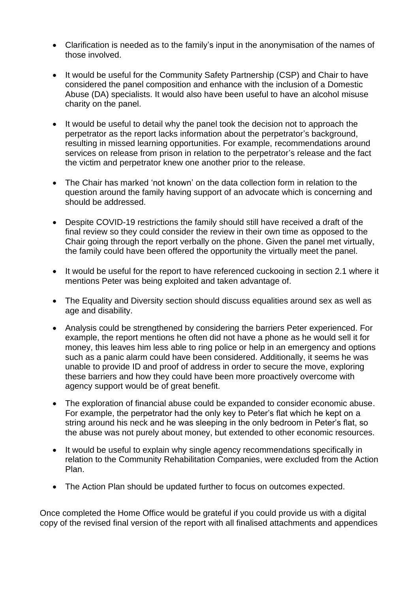- Clarification is needed as to the family's input in the anonymisation of the names of those involved.
- It would be useful for the Community Safety Partnership (CSP) and Chair to have considered the panel composition and enhance with the inclusion of a Domestic Abuse (DA) specialists. It would also have been useful to have an alcohol misuse charity on the panel.
- It would be useful to detail why the panel took the decision not to approach the perpetrator as the report lacks information about the perpetrator's background, resulting in missed learning opportunities. For example, recommendations around services on release from prison in relation to the perpetrator's release and the fact the victim and perpetrator knew one another prior to the release.
- The Chair has marked 'not known' on the data collection form in relation to the question around the family having support of an advocate which is concerning and should be addressed.
- Despite COVID-19 restrictions the family should still have received a draft of the final review so they could consider the review in their own time as opposed to the Chair going through the report verbally on the phone. Given the panel met virtually, the family could have been offered the opportunity the virtually meet the panel.
- It would be useful for the report to have referenced cuckooing in section 2.1 where it mentions Peter was being exploited and taken advantage of.
- The Equality and Diversity section should discuss equalities around sex as well as age and disability.
- Analysis could be strengthened by considering the barriers Peter experienced. For example, the report mentions he often did not have a phone as he would sell it for money, this leaves him less able to ring police or help in an emergency and options such as a panic alarm could have been considered. Additionally, it seems he was unable to provide ID and proof of address in order to secure the move, exploring these barriers and how they could have been more proactively overcome with agency support would be of great benefit.
- The exploration of financial abuse could be expanded to consider economic abuse. For example, the perpetrator had the only key to Peter's flat which he kept on a string around his neck and he was sleeping in the only bedroom in Peter's flat, so the abuse was not purely about money, but extended to other economic resources.
- It would be useful to explain why single agency recommendations specifically in relation to the Community Rehabilitation Companies, were excluded from the Action Plan.
- The Action Plan should be updated further to focus on outcomes expected.

Once completed the Home Office would be grateful if you could provide us with a digital copy of the revised final version of the report with all finalised attachments and appendices